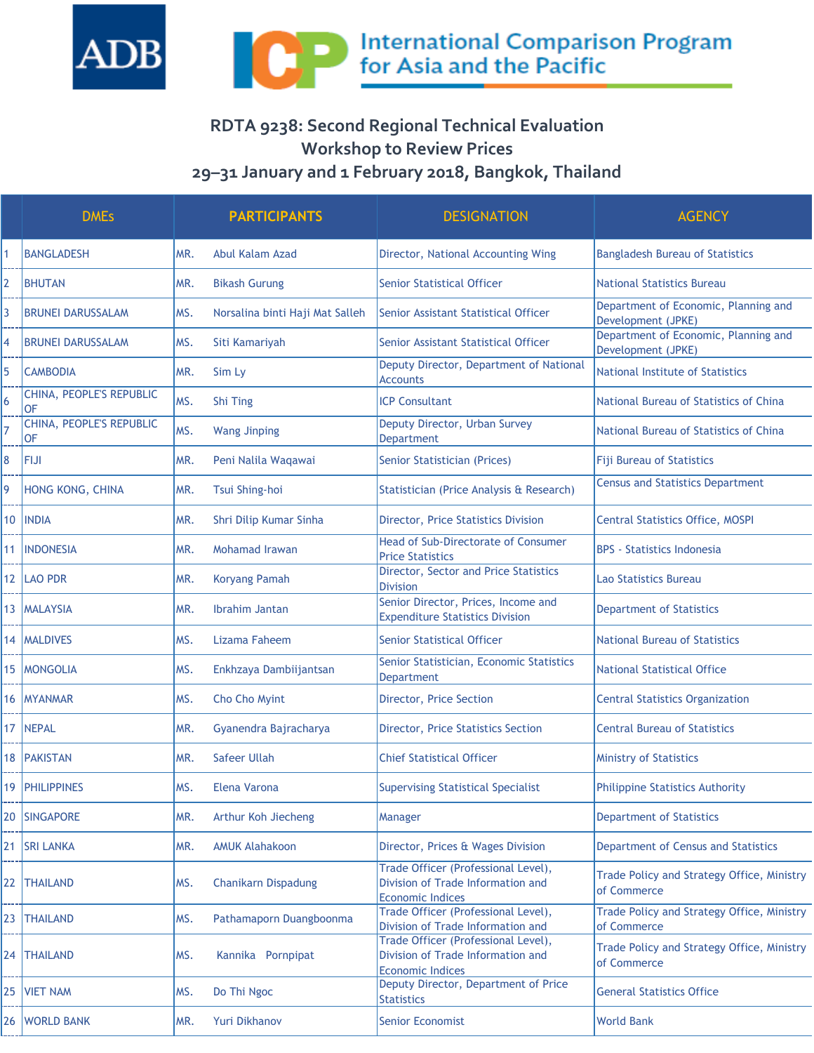

## **RDTA 9238: Second Regional Technical Evaluation Workshop to Review Prices 29–31 January and 1 February 2018, Bangkok, Thailand**

|     | <b>DMEs</b>                           |     | <b>PARTICIPANTS</b>             | <b>DESIGNATION</b>                                                                                  | <b>AGENCY</b>                                              |
|-----|---------------------------------------|-----|---------------------------------|-----------------------------------------------------------------------------------------------------|------------------------------------------------------------|
|     | <b>BANGLADESH</b>                     | MR. | Abul Kalam Azad                 | Director, National Accounting Wing                                                                  | <b>Bangladesh Bureau of Statistics</b>                     |
| 2   | <b>BHUTAN</b>                         | MR. | <b>Bikash Gurung</b>            | <b>Senior Statistical Officer</b>                                                                   | <b>National Statistics Bureau</b>                          |
| 3   | <b>BRUNEI DARUSSALAM</b>              | MS. | Norsalina binti Haji Mat Salleh | Senior Assistant Statistical Officer                                                                | Department of Economic, Planning and<br>Development (JPKE) |
| 4   | <b>BRUNEI DARUSSALAM</b>              | MS. | Siti Kamariyah                  | Senior Assistant Statistical Officer                                                                | Department of Economic, Planning and<br>Development (JPKE) |
| 5   | <b>CAMBODIA</b>                       | MR. | Sim Ly                          | Deputy Director, Department of National<br><b>Accounts</b>                                          | National Institute of Statistics                           |
| 6   | CHINA, PEOPLE'S REPUBLIC<br><b>OF</b> | MS. | Shi Ting                        | <b>ICP Consultant</b>                                                                               | National Bureau of Statistics of China                     |
| 7   | CHINA, PEOPLE'S REPUBLIC<br>lOF.      | MS. | <b>Wang Jinping</b>             | Deputy Director, Urban Survey<br><b>Department</b>                                                  | National Bureau of Statistics of China                     |
| 8   | ifiji                                 | MR. | Peni Nalila Waqawai             | Senior Statistician (Prices)                                                                        | <b>Fiji Bureau of Statistics</b>                           |
| 9   | HONG KONG, CHINA                      | MR. | Tsui Shing-hoi                  | Statistician (Price Analysis & Research)                                                            | <b>Census and Statistics Department</b>                    |
| 10  | <b>INDIA</b>                          | MR. | Shri Dilip Kumar Sinha          | Director, Price Statistics Division                                                                 | Central Statistics Office, MOSPI                           |
| 11  | <b>INDONESIA</b>                      | MR. | Mohamad Irawan                  | <b>Head of Sub-Directorate of Consumer</b><br><b>Price Statistics</b>                               | <b>BPS - Statistics Indonesia</b>                          |
|     | 12   LAO PDR                          | MR. | <b>Koryang Pamah</b>            | Director, Sector and Price Statistics<br><b>Division</b>                                            | Lao Statistics Bureau                                      |
|     | 13   MALAYSIA                         | MR. | Ibrahim Jantan                  | Senior Director, Prices, Income and<br><b>Expenditure Statistics Division</b>                       | <b>Department of Statistics</b>                            |
| 14  | <b>MALDIVES</b>                       | MS. | Lizama Faheem                   | <b>Senior Statistical Officer</b>                                                                   | National Bureau of Statistics                              |
| 15  | <b>MONGOLIA</b>                       | MS. | Enkhzaya Dambiijantsan          | Senior Statistician, Economic Statistics<br>Department                                              | National Statistical Office                                |
| 16. | <b>MYANMAR</b>                        | MS. | Cho Cho Myint                   | Director, Price Section                                                                             | <b>Central Statistics Organization</b>                     |
| 17  | NEPAL                                 | MR. | Gyanendra Bajracharya           | Director, Price Statistics Section                                                                  | <b>Central Bureau of Statistics</b>                        |
| 18  | <b>PAKISTAN</b>                       | MR. | Safeer Ullah                    | <b>Chief Statistical Officer</b>                                                                    | <b>Ministry of Statistics</b>                              |
|     | 19   PHILIPPINES                      | MS. | Elena Varona                    | <b>Supervising Statistical Specialist</b>                                                           | <b>Philippine Statistics Authority</b>                     |
| 20  | <b>SINGAPORE</b>                      | MR. | Arthur Koh Jiecheng             | Manager                                                                                             | <b>Department of Statistics</b>                            |
| 21  | <b>SRI LANKA</b>                      | MR. | <b>AMUK Alahakoon</b>           | Director, Prices & Wages Division                                                                   | Department of Census and Statistics                        |
| 22  | <b>THAILAND</b>                       | MS. | <b>Chanikarn Dispadung</b>      | Trade Officer (Professional Level),<br>Division of Trade Information and<br><b>Economic Indices</b> | Trade Policy and Strategy Office, Ministry<br>of Commerce  |
| 23  | <b>THAILAND</b>                       | MS. | Pathamaporn Duangboonma         | Trade Officer (Professional Level),<br>Division of Trade Information and                            | Trade Policy and Strategy Office, Ministry<br>of Commerce  |
| 24  | <b>THAILAND</b>                       | MS. | Kannika Pornpipat               | Trade Officer (Professional Level),<br>Division of Trade Information and<br><b>Economic Indices</b> | Trade Policy and Strategy Office, Ministry<br>of Commerce  |
| 25  | <b>VIET NAM</b>                       | MS. | Do Thi Ngoc                     | Deputy Director, Department of Price<br><b>Statistics</b>                                           | <b>General Statistics Office</b>                           |
| 26  | <b>WORLD BANK</b>                     | MR. | Yuri Dikhanov                   | <b>Senior Economist</b>                                                                             | <b>World Bank</b>                                          |